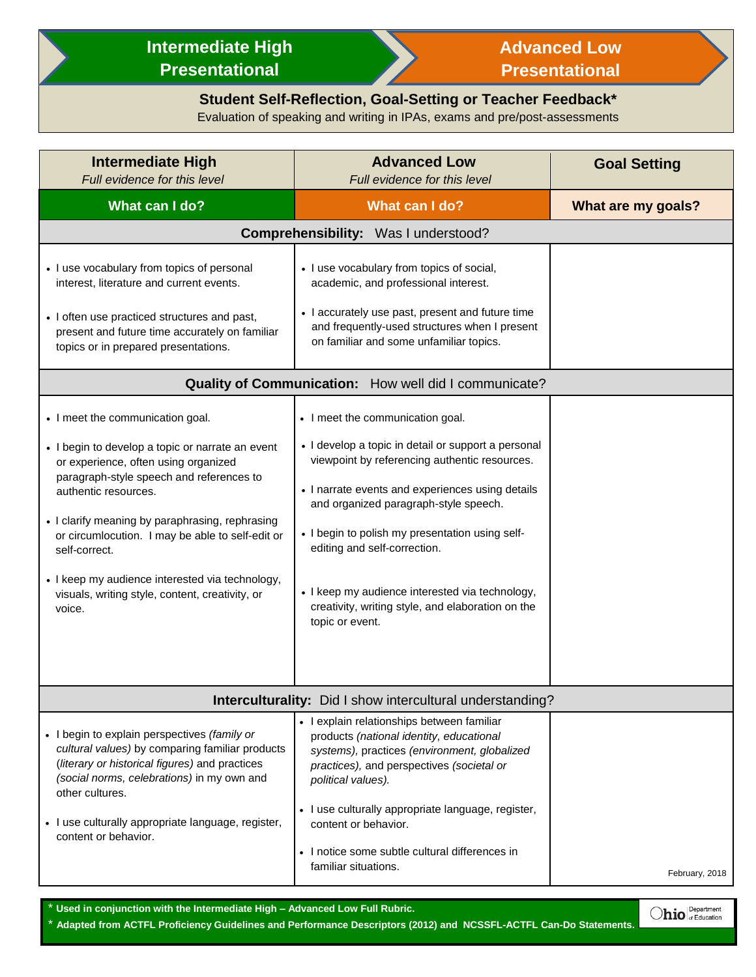## **Intermediate High Presentational**



## **Advanced Low Presentational**

 $\bigcirc$ hio  $\bigcirc$  Department

## **Student Self-Reflection, Goal-Setting or Teacher Feedback\***

Evaluation of speaking and writing in IPAs, exams and pre/post-assessments

| <b>Intermediate High</b><br>Full evidence for this level                                                                                                                                                                                                                                                                                                                                                                                 | <b>Advanced Low</b><br>Full evidence for this level                                                                                                                                                                                                                                                                                                                                                                                                 | <b>Goal Setting</b> |  |
|------------------------------------------------------------------------------------------------------------------------------------------------------------------------------------------------------------------------------------------------------------------------------------------------------------------------------------------------------------------------------------------------------------------------------------------|-----------------------------------------------------------------------------------------------------------------------------------------------------------------------------------------------------------------------------------------------------------------------------------------------------------------------------------------------------------------------------------------------------------------------------------------------------|---------------------|--|
| What can I do?                                                                                                                                                                                                                                                                                                                                                                                                                           | What can I do?                                                                                                                                                                                                                                                                                                                                                                                                                                      | What are my goals?  |  |
| Comprehensibility: Was I understood?                                                                                                                                                                                                                                                                                                                                                                                                     |                                                                                                                                                                                                                                                                                                                                                                                                                                                     |                     |  |
| • I use vocabulary from topics of personal<br>interest, literature and current events.<br>• I often use practiced structures and past,<br>present and future time accurately on familiar<br>topics or in prepared presentations.                                                                                                                                                                                                         | • I use vocabulary from topics of social,<br>academic, and professional interest.<br>• I accurately use past, present and future time<br>and frequently-used structures when I present<br>on familiar and some unfamiliar topics.                                                                                                                                                                                                                   |                     |  |
| Quality of Communication: How well did I communicate?                                                                                                                                                                                                                                                                                                                                                                                    |                                                                                                                                                                                                                                                                                                                                                                                                                                                     |                     |  |
| • I meet the communication goal.<br>• I begin to develop a topic or narrate an event<br>or experience, often using organized<br>paragraph-style speech and references to<br>authentic resources.<br>• I clarify meaning by paraphrasing, rephrasing<br>or circumlocution. I may be able to self-edit or<br>self-correct.<br>• I keep my audience interested via technology,<br>visuals, writing style, content, creativity, or<br>voice. | • I meet the communication goal.<br>• I develop a topic in detail or support a personal<br>viewpoint by referencing authentic resources.<br>• I narrate events and experiences using details<br>and organized paragraph-style speech.<br>• I begin to polish my presentation using self-<br>editing and self-correction.<br>• I keep my audience interested via technology,<br>creativity, writing style, and elaboration on the<br>topic or event. |                     |  |
| Interculturality: Did I show intercultural understanding?                                                                                                                                                                                                                                                                                                                                                                                |                                                                                                                                                                                                                                                                                                                                                                                                                                                     |                     |  |
| • I begin to explain perspectives (family or<br>cultural values) by comparing familiar products<br>(literary or historical figures) and practices<br>(social norms, celebrations) in my own and<br>other cultures.<br>• I use culturally appropriate language, register,<br>content or behavior.                                                                                                                                         | • I explain relationships between familiar<br>products (national identity, educational<br>systems), practices (environment, globalized<br>practices), and perspectives (societal or<br>political values).<br>• I use culturally appropriate language, register,<br>content or behavior.<br>• I notice some subtle cultural differences in<br>familiar situations.                                                                                   | February, 2018      |  |

\* **Used in conjunction with the Intermediate High – Advanced Low Full Rubric.**

\* **Adapted from ACTFL Proficiency Guidelines and Performance Descriptors (2012) and NCSSFL-ACTFL Can-Do Statements.**